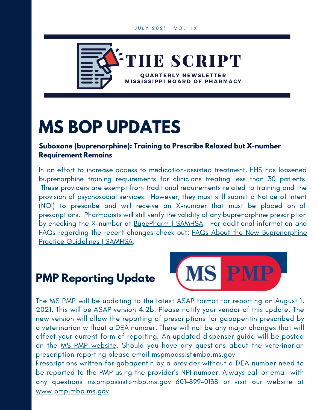#### JULY 2021 | VOL. IX



# **MS BOP UPDATES**

#### **Suboxone (buprenorphine): Training to Prescribe Relaxed but X-number Requirement Remains**

In an effort to increase access to medication-assisted treatment, HHS has loosened buprenorphine training requirements for clinicians treating less than 30 patients. These providers are exempt from traditional requirements related to training and the provision of psychosocial services. However, they must still submit a Notice of Intent (NOI) to prescribe and will receive an X-number that must be placed on all prescriptions. Pharmacists will still verify the validity of any buprenorphine prescription by checking the X-number at [BupePharm](https://www.samhsa.gov/bupe/lookup-form) | SAMHSA. For additional information and FAQs regarding the recent changes check out: FAQs About the New [Buprenorphine](https://www.samhsa.gov/medication-assisted-treatment/practitioner-resources/faqs) Practice Guidelines | SAMHSA.

### **PMP Reporting Update**



The MS PMP will be updating to the latest ASAP format for reporting on August 1, 2021. This will be ASAP version 4.2b. Please notify your vendor of this update. The new version will allow the reporting of prescriptions for gabapentin prescribed by a veterinarian without a DEA number. There will not be any major changes that will affect your current form of reporting. An updated dispenser guide will be posted on the MS PMP [website](https://pmp.mbp.ms.gov/). Should you have any questions about the veterinarian prescription reporting please email mspmpassistembp.ms.gov

Prescriptions written for gabapentin by a provider without a DEA number need to be reported to the PMP using the provider's NPI number. Always call or email with any questions [mspmpassist@mbp.ms.gov](mailto:mspmpassist@mbp.ms.gov) 601-899-0138 or visit our website at [www.pmp.mbp.ms.gov](https://pmp.mbp.ms.gov/).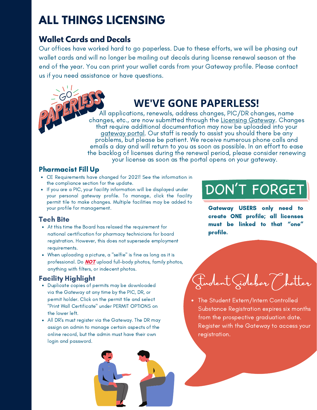### **ALL THINGS LICENSING**

#### **Wallet Cards and Decals**

offorte would be Our offices have worked hard to go paperless. Due to these efforts, we will be phasing out wallet cards and will no longer be mailing out decals during license renewal season at the license number, then submit your "initial pharmacist end of the year. You can print your wallet cards from your Gateway profile. Please contact us if you need assistance or have questions.

### **WE'VE GONE PAPERLESS!**

All applications, renewals, address changes, PIC/DR changes, name changes, etc., are now submitted through the Licensing [Gateway.](https://gateway.mbp.ms.gov/) Changes that require additional documentation may now be uploaded into your [gateway](https://gateway.mbp.ms.gov/) portal. Our staff is ready to assist you should there be any problems, but please be patient. We receive numerous phone calls and emails a day and will return to you as soon as possible. In an effort to ease the backlog of licenses during the renewal period, please consider renewing your license as soon as the portal opens on your gateway.

#### Pharmacist Fill Up

- CE Requirements have changed for 2021! See the information in the compliance section for the update.
- If you are a PIC, your facility information will be displayed under your personal gateway profile. To manage, click the facility permit tile to make changes. Multiple facilities may be added to your profile for management.

#### Tech Bite

- At this time the Board has relaxed the requirement for national certification for pharmacy technicians for board registration. However, this does not supersede employment requirements.
- When uploading a picture, a "selfie" is fine as long as it is professional. Do **NOT** upload full-body photos, family photos, anything with filters, or indecent photos.

#### Facility Highlight

- Duplicate copies of permits may be downloaded via the Gateway at any time by the PIC, DR, or permit holder. Click on the permit tile and select "Print Wall Certificate" under PERMIT OPTIONS on the lower left.
- All DR's must register via the Gateway. The DR may assign an admin to manage certain aspects of the online record, but the admin must have their own login and password.

## DON'T FORGET

Gateway USERS only need to create ONE profile; all licenses must be linked to that "one" profile.

Fudent Gidebar ()

The Student Extern/Intern Controlled Substance Registration expires six months from the prospective graduation date. Register with the Gateway to access your registration.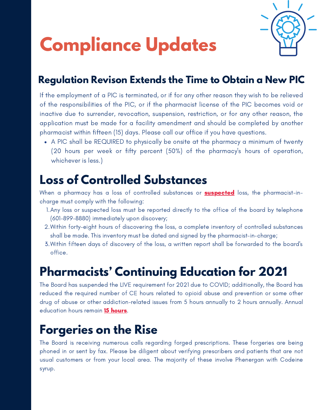

# **Compliance Updates**

### **Regulation Revison Extends the Time to Obtain a New PIC**

If the employment of a PIC is terminated, or if for any other reason they wish to be relieved of the responsibilities of the PIC, or if the pharmacist license of the PIC becomes void or inactive due to surrender, revocation, suspension, restriction, or for any other reason, the application must be made for a facility amendment and should be completed by another pharmacist within fifteen (15) days. Please call our office if you have questions.

A PIC shall be REQUIRED to physically be onsite at the pharmacy a minimum of twenty (20 hours per week or fifty percent (50%) of the pharmacy's hours of operation, whichever is less.)

### **Loss of Controlled Substances**

When a pharmacy has a loss of controlled substances or **suspected** loss, the pharmacist-incharge must comply with the following:

- 1. Any loss or suspected loss must be reported directly to the office of the board by telephone (601-899-8880) immediately upon discovery;
- 2.Within forty-eight hours of discovering the loss, a complete inventory of controlled substances shall be made. This inventory must be dated and signed by the pharmacist-in-charge;
- 3.Within fifteen days of discovery of the loss, a written report shall be forwarded to the board's office.

### **Pharmacists' Continuing Education for 2021**

The Board has suspended the LIVE requirement for 2021 due to COVID; additionally, the Board has reduced the required number of CE hours related to opioid abuse and prevention or some other drug of abuse or other addiction-related issues from 5 hours annually to 2 hours annually. Annual education hours remain 15 hours.

### **Forgeries on the Rise**

The Board is receiving numerous calls regarding forged prescriptions. These forgeries are being phoned in or sent by fax. Please be diligent about verifying prescribers and patients that are not usual customers or from your local area. The majority of these involve Phenergan with Codeine syrup.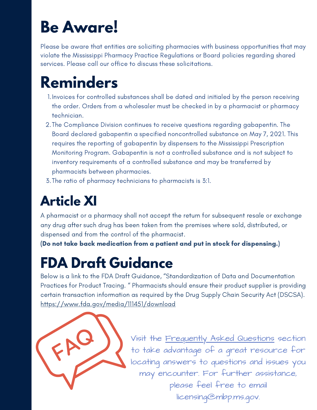# **Be Aware!**

Please be aware that entities are soliciting pharmacies with business opportunities that may violate the Mississippi Pharmacy Practice Regulations or Board policies regarding shared services. Please call our office to discuss these solicitations.

# **Reminders**

- 1. Invoices for controlled substances shall be dated and initialed by the person receiving the order. Orders from a wholesaler must be checked in by a pharmacist or pharmacy technician.
- 2.The Compliance Division continues to receive questions regarding gabapentin. The Board declared gabapentin a specified noncontrolled substance on May 7, 2021. This requires the reporting of gabapentin by dispensers to the Mississippi Prescription Monitoring Program. Gabapentin is not a controlled substance and is not subject to inventory requirements of a controlled substance and may be transferred by pharmacists between pharmacies.
- The ratio of pharmacy technicians to pharmacists is 3:1. 3.

# **Article XI**

A pharmacist or a pharmacy shall not accept the return for subsequent resale or exchange any drug after such drug has been taken from the premises where sold, distributed, or dispensed and from the control of the pharmacist.

(Do not take back medication from a patient and put in stock for dispensing.)

# **FDA Draft Guidance**

Below is a link to the FDA Draft Guidance, "Standardization of Data and Documentation Practices for Product Tracing. " Pharmacists should ensure their product supplier is providing certain transaction information as required by the Drug Supply Chain Security Act (DSCSA). <https://www.fda.gov/media/111451/download>



Visit the [Frequently](https://www.mbp.ms.gov/Pages/FAQs.aspx) Asked Questions section to take advantage of a great resource for locating answers to questions and issues you may encounter. For further assistance, please feel free to email licensing@mbp.ms.gov.